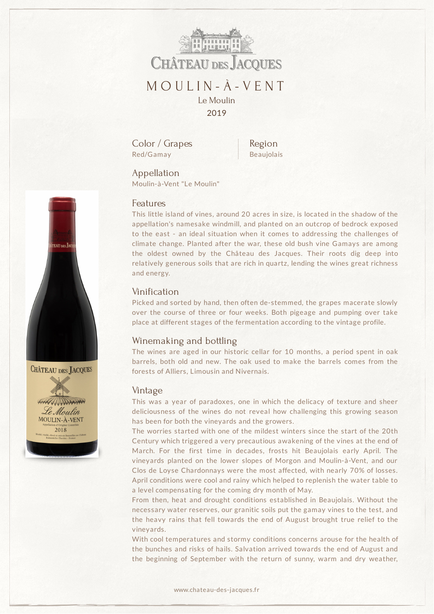

Color / Grapes Red/Gamay

Region Beaujolais

Appellation Moulin-à-Vent "Le Moulin"

### Features

This little island of vines, around 20 acres in size, is located in the shadow of the appellation's namesake windmill, and planted on an outcrop of bedrock exposed to the east - an ideal situation when it comes to addressing the challenges of climate change. Planted after the war, these old bush vine Gamays are among the oldest owned by the Château des Jacques. Their roots dig deep into relatively generous soils that are rich in quartz, lending the wines great richness and energy.

# Vinification

Picked and sorted by hand, then often de-stemmed, the grapes macerate slowly over the course of three or four weeks. Both pigeage and pumping over take place at different stages of the fermentation according to the vintage profile.

### Winemaking and bottling

The wines are aged in our historic cellar for 10 months, a period spent in oak barrels, both old and new. The oak used to make the barrels comes from the forests of Alliers, Limousin and Nivernais.

#### Vintage

This was a year of paradoxes, one in which the delicacy of texture and sheer deliciousness of the wines do not reveal how challenging this growing season has been for both the vineyards and the growers.

The worries started with one of the mildest winters since the start of the 20th Century which triggered a very precautious awakening of the vines at the end of March. For the first time in decades, frosts hit Beaujolais early April. The vineyards planted on the lower slopes of Morgon and Moulin-à-Vent, and our Clos de Loyse Chardonnays were the most affected, with nearly 70% of losses. April conditions were cool and rainy which helped to replenish the water table to a level compensating for the coming dry month of May.

From then, heat and drought conditions established in Beaujolais. Without the necessary water reserves, our granitic soils put the gamay vines to the test, and the heavy rains that fell towards the end of August brought true relief to the vineyards.

With cool temperatures and stormy conditions concerns arouse for the health of the bunches and risks of hails. Salvation arrived towards the end of August and the beginning of September with the return of sunny, warm and dry weather,



**CHÂTEAU DES JACQUES**